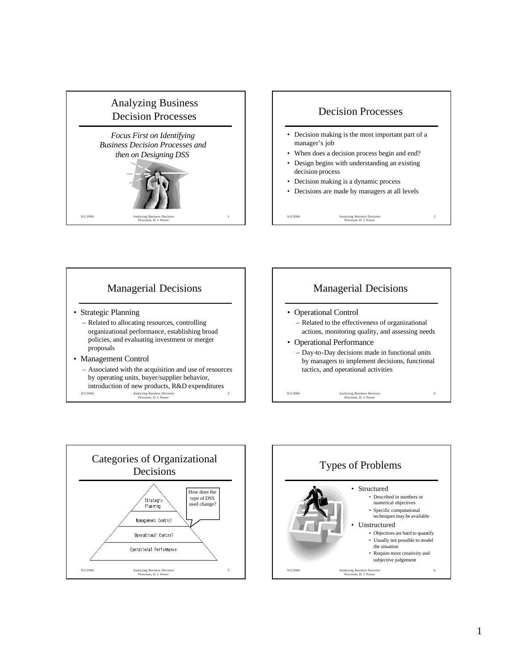







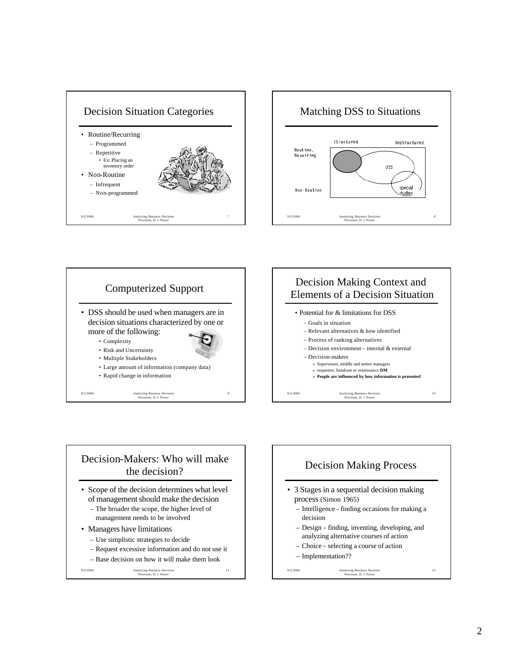









- management needs to be involved
- Managers have limitations
	- Use simplistic strategies to decide
	- Request excessive information and do not use it

11

– Base decision on how it will make them look

9/2/2006 Analyzing Business Decision Processes, D. J. Power

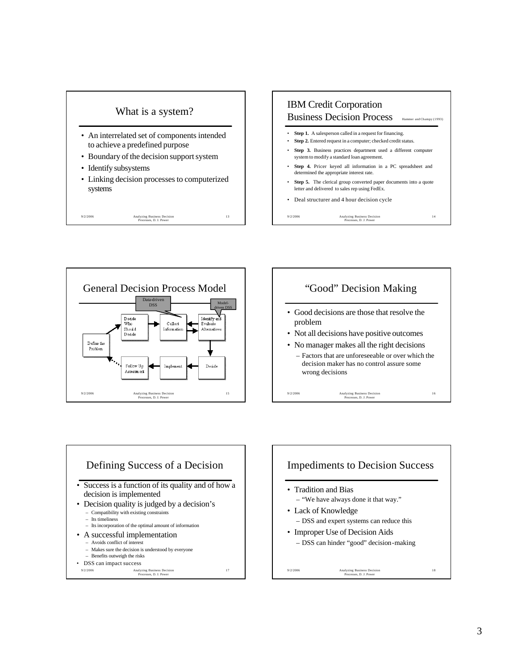